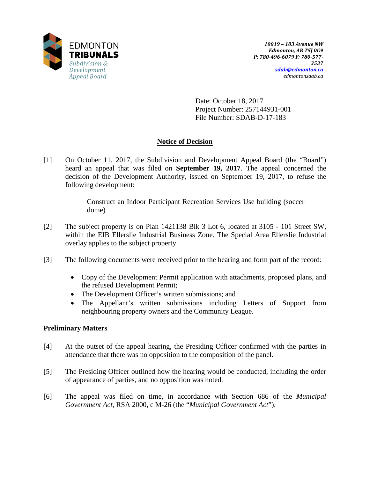

Date: October 18, 2017 Project Number: 257144931-001 File Number: SDAB-D-17-183

# **Notice of Decision**

[1] On October 11, 2017, the Subdivision and Development Appeal Board (the "Board") heard an appeal that was filed on **September 19, 2017**. The appeal concerned the decision of the Development Authority, issued on September 19, 2017, to refuse the following development:

> Construct an Indoor Participant Recreation Services Use building (soccer dome)

- [2] The subject property is on Plan 1421138 Blk 3 Lot 6, located at 3105 101 Street SW, within the EIB Ellerslie Industrial Business Zone. The Special Area Ellerslie Industrial overlay applies to the subject property.
- [3] The following documents were received prior to the hearing and form part of the record:
	- Copy of the Development Permit application with attachments, proposed plans, and the refused Development Permit;
	- The Development Officer's written submissions; and
	- The Appellant's written submissions including Letters of Support from neighbouring property owners and the Community League.

## **Preliminary Matters**

- [4] At the outset of the appeal hearing, the Presiding Officer confirmed with the parties in attendance that there was no opposition to the composition of the panel.
- [5] The Presiding Officer outlined how the hearing would be conducted, including the order of appearance of parties, and no opposition was noted.
- [6] The appeal was filed on time, in accordance with Section 686 of the *Municipal Government Act*, RSA 2000, c M-26 (the "*Municipal Government Act*").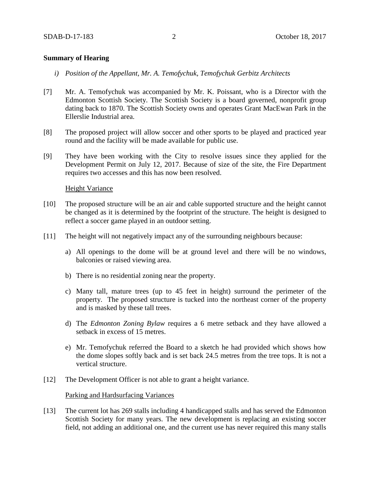#### **Summary of Hearing**

- *i) Position of the Appellant, Mr. A. Temofychuk, Temofychuk Gerbitz Architects*
- [7] Mr. A. Temofychuk was accompanied by Mr. K. Poissant, who is a Director with the Edmonton Scottish Society. The Scottish Society is a board governed, nonprofit group dating back to 1870. The Scottish Society owns and operates Grant MacEwan Park in the Ellerslie Industrial area.
- [8] The proposed project will allow soccer and other sports to be played and practiced year round and the facility will be made available for public use.
- [9] They have been working with the City to resolve issues since they applied for the Development Permit on July 12, 2017. Because of size of the site, the Fire Department requires two accesses and this has now been resolved.

#### **Height Variance**

- [10] The proposed structure will be an air and cable supported structure and the height cannot be changed as it is determined by the footprint of the structure. The height is designed to reflect a soccer game played in an outdoor setting.
- [11] The height will not negatively impact any of the surrounding neighbours because:
	- a) All openings to the dome will be at ground level and there will be no windows, balconies or raised viewing area.
	- b) There is no residential zoning near the property.
	- c) Many tall, mature trees (up to 45 feet in height) surround the perimeter of the property. The proposed structure is tucked into the northeast corner of the property and is masked by these tall trees.
	- d) The *Edmonton Zoning Bylaw* requires a 6 metre setback and they have allowed a setback in excess of 15 metres.
	- e) Mr. Temofychuk referred the Board to a sketch he had provided which shows how the dome slopes softly back and is set back 24.5 metres from the tree tops. It is not a vertical structure.
- [12] The Development Officer is not able to grant a height variance.

## Parking and Hardsurfacing Variances

[13] The current lot has 269 stalls including 4 handicapped stalls and has served the Edmonton Scottish Society for many years. The new development is replacing an existing soccer field, not adding an additional one, and the current use has never required this many stalls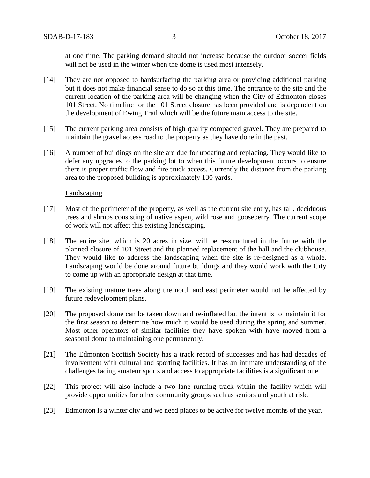at one time. The parking demand should not increase because the outdoor soccer fields will not be used in the winter when the dome is used most intensely.

- [14] They are not opposed to hardsurfacing the parking area or providing additional parking but it does not make financial sense to do so at this time. The entrance to the site and the current location of the parking area will be changing when the City of Edmonton closes 101 Street. No timeline for the 101 Street closure has been provided and is dependent on the development of Ewing Trail which will be the future main access to the site.
- [15] The current parking area consists of high quality compacted gravel. They are prepared to maintain the gravel access road to the property as they have done in the past.
- [16] A number of buildings on the site are due for updating and replacing. They would like to defer any upgrades to the parking lot to when this future development occurs to ensure there is proper traffic flow and fire truck access. Currently the distance from the parking area to the proposed building is approximately 130 yards.

#### **Landscaping**

- [17] Most of the perimeter of the property, as well as the current site entry, has tall, deciduous trees and shrubs consisting of native aspen, wild rose and gooseberry. The current scope of work will not affect this existing landscaping.
- [18] The entire site, which is 20 acres in size, will be re-structured in the future with the planned closure of 101 Street and the planned replacement of the hall and the clubhouse. They would like to address the landscaping when the site is re-designed as a whole. Landscaping would be done around future buildings and they would work with the City to come up with an appropriate design at that time.
- [19] The existing mature trees along the north and east perimeter would not be affected by future redevelopment plans.
- [20] The proposed dome can be taken down and re-inflated but the intent is to maintain it for the first season to determine how much it would be used during the spring and summer. Most other operators of similar facilities they have spoken with have moved from a seasonal dome to maintaining one permanently.
- [21] The Edmonton Scottish Society has a track record of successes and has had decades of involvement with cultural and sporting facilities. It has an intimate understanding of the challenges facing amateur sports and access to appropriate facilities is a significant one.
- [22] This project will also include a two lane running track within the facility which will provide opportunities for other community groups such as seniors and youth at risk.
- [23] Edmonton is a winter city and we need places to be active for twelve months of the year.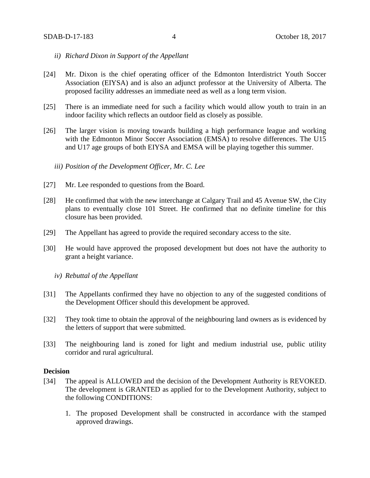- *ii) Richard Dixon in Support of the Appellant*
- [24] Mr. Dixon is the chief operating officer of the Edmonton Interdistrict Youth Soccer Association (EIYSA) and is also an adjunct professor at the University of Alberta. The proposed facility addresses an immediate need as well as a long term vision.
- [25] There is an immediate need for such a facility which would allow youth to train in an indoor facility which reflects an outdoor field as closely as possible.
- [26] The larger vision is moving towards building a high performance league and working with the Edmonton Minor Soccer Association (EMSA) to resolve differences. The U15 and U17 age groups of both EIYSA and EMSA will be playing together this summer.

*iii) Position of the Development Officer, Mr. C. Lee*

- [27] Mr. Lee responded to questions from the Board.
- [28] He confirmed that with the new interchange at Calgary Trail and 45 Avenue SW, the City plans to eventually close 101 Street. He confirmed that no definite timeline for this closure has been provided.
- [29] The Appellant has agreed to provide the required secondary access to the site.
- [30] He would have approved the proposed development but does not have the authority to grant a height variance.
	- *iv) Rebuttal of the Appellant*
- [31] The Appellants confirmed they have no objection to any of the suggested conditions of the Development Officer should this development be approved.
- [32] They took time to obtain the approval of the neighbouring land owners as is evidenced by the letters of support that were submitted.
- [33] The neighbouring land is zoned for light and medium industrial use, public utility corridor and rural agricultural.

#### **Decision**

- [34] The appeal is ALLOWED and the decision of the Development Authority is REVOKED. The development is GRANTED as applied for to the Development Authority, subject to the following CONDITIONS:
	- 1. The proposed Development shall be constructed in accordance with the stamped approved drawings.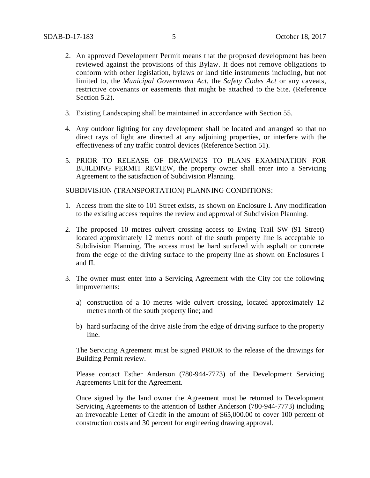- 2. An approved Development Permit means that the proposed development has been reviewed against the provisions of this Bylaw. It does not remove obligations to conform with other legislation, bylaws or land title instruments including, but not limited to, the *Municipal Government Act*, the *Safety Codes Act* or any caveats, restrictive covenants or easements that might be attached to the Site. (Reference Section 5.2).
- 3. Existing Landscaping shall be maintained in accordance with Section 55.
- 4. Any outdoor lighting for any development shall be located and arranged so that no direct rays of light are directed at any adjoining properties, or interfere with the effectiveness of any traffic control devices (Reference Section 51).
- 5. PRIOR TO RELEASE OF DRAWINGS TO PLANS EXAMINATION FOR BUILDING PERMIT REVIEW, the property owner shall enter into a Servicing Agreement to the satisfaction of Subdivision Planning.

SUBDIVISION (TRANSPORTATION) PLANNING CONDITIONS:

- 1. Access from the site to 101 Street exists, as shown on Enclosure I. Any modification to the existing access requires the review and approval of Subdivision Planning.
- 2. The proposed 10 metres culvert crossing access to Ewing Trail SW (91 Street) located approximately 12 metres north of the south property line is acceptable to Subdivision Planning. The access must be hard surfaced with asphalt or concrete from the edge of the driving surface to the property line as shown on Enclosures I and II.
- 3. The owner must enter into a Servicing Agreement with the City for the following improvements:
	- a) construction of a 10 metres wide culvert crossing, located approximately 12 metres north of the south property line; and
	- b) hard surfacing of the drive aisle from the edge of driving surface to the property line.

The Servicing Agreement must be signed PRIOR to the release of the drawings for Building Permit review.

Please contact Esther Anderson (780-944-7773) of the Development Servicing Agreements Unit for the Agreement.

Once signed by the land owner the Agreement must be returned to Development Servicing Agreements to the attention of Esther Anderson (780-944-7773) including an irrevocable Letter of Credit in the amount of \$65,000.00 to cover 100 percent of construction costs and 30 percent for engineering drawing approval.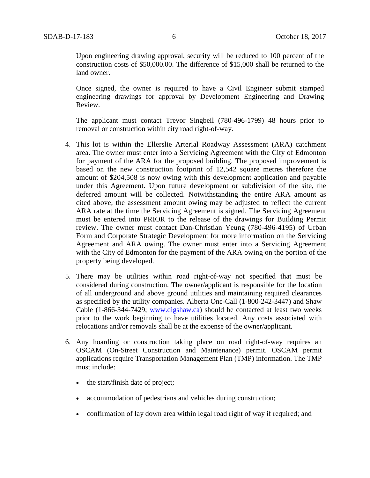Upon engineering drawing approval, security will be reduced to 100 percent of the construction costs of \$50,000.00. The difference of \$15,000 shall be returned to the land owner.

Once signed, the owner is required to have a Civil Engineer submit stamped engineering drawings for approval by Development Engineering and Drawing Review.

The applicant must contact Trevor Singbeil (780-496-1799) 48 hours prior to removal or construction within city road right-of-way.

- 4. This lot is within the Ellerslie Arterial Roadway Assessment (ARA) catchment area. The owner must enter into a Servicing Agreement with the City of Edmonton for payment of the ARA for the proposed building. The proposed improvement is based on the new construction footprint of 12,542 square metres therefore the amount of \$204,508 is now owing with this development application and payable under this Agreement. Upon future development or subdivision of the site, the deferred amount will be collected. Notwithstanding the entire ARA amount as cited above, the assessment amount owing may be adjusted to reflect the current ARA rate at the time the Servicing Agreement is signed. The Servicing Agreement must be entered into PRIOR to the release of the drawings for Building Permit review. The owner must contact Dan-Christian Yeung (780-496-4195) of Urban Form and Corporate Strategic Development for more information on the Servicing Agreement and ARA owing. The owner must enter into a Servicing Agreement with the City of Edmonton for the payment of the ARA owing on the portion of the property being developed.
- 5. There may be utilities within road right-of-way not specified that must be considered during construction. The owner/applicant is responsible for the location of all underground and above ground utilities and maintaining required clearances as specified by the utility companies. Alberta One-Call (1-800-242-3447) and Shaw Cable (1-866-344-7429; [www.digshaw.ca\)](http://www.digshaw.ca/) should be contacted at least two weeks prior to the work beginning to have utilities located. Any costs associated with relocations and/or removals shall be at the expense of the owner/applicant.
- 6. Any hoarding or construction taking place on road right-of-way requires an OSCAM (On-Street Construction and Maintenance) permit. OSCAM permit applications require Transportation Management Plan (TMP) information. The TMP must include:
	- the start/finish date of project;
	- accommodation of pedestrians and vehicles during construction;
	- confirmation of lay down area within legal road right of way if required; and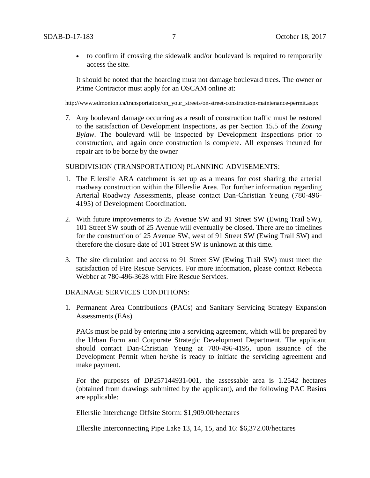• to confirm if crossing the sidewalk and/or boulevard is required to temporarily access the site.

It should be noted that the hoarding must not damage boulevard trees. The owner or Prime Contractor must apply for an OSCAM online at:

[http://www.edmonton.ca/transportation/on\\_your\\_streets/on-street-construction-maintenance-permit.aspx](http://www.edmonton.ca/transportation/on_your_streets/on-street-construction-maintenance-permit.aspx)

7. Any boulevard damage occurring as a result of construction traffic must be restored to the satisfaction of Development Inspections, as per Section 15.5 of the *Zoning Bylaw*. The boulevard will be inspected by Development Inspections prior to construction, and again once construction is complete. All expenses incurred for repair are to be borne by the owner

### SUBDIVISION (TRANSPORTATION) PLANNING ADVISEMENTS:

- 1. The Ellerslie ARA catchment is set up as a means for cost sharing the arterial roadway construction within the Ellerslie Area. For further information regarding Arterial Roadway Assessments, please contact Dan-Christian Yeung (780-496- 4195) of Development Coordination.
- 2. With future improvements to 25 Avenue SW and 91 Street SW (Ewing Trail SW), 101 Street SW south of 25 Avenue will eventually be closed. There are no timelines for the construction of 25 Avenue SW, west of 91 Street SW (Ewing Trail SW) and therefore the closure date of 101 Street SW is unknown at this time.
- 3. The site circulation and access to 91 Street SW (Ewing Trail SW) must meet the satisfaction of Fire Rescue Services. For more information, please contact Rebecca Webber at 780-496-3628 with Fire Rescue Services.

#### DRAINAGE SERVICES CONDITIONS:

1. Permanent Area Contributions (PACs) and Sanitary Servicing Strategy Expansion Assessments (EAs)

PACs must be paid by entering into a servicing agreement, which will be prepared by the Urban Form and Corporate Strategic Development Department. The applicant should contact Dan-Christian Yeung at 780-496-4195, upon issuance of the Development Permit when he/she is ready to initiate the servicing agreement and make payment.

For the purposes of DP257144931-001, the assessable area is 1.2542 hectares (obtained from drawings submitted by the applicant), and the following PAC Basins are applicable:

Ellerslie Interchange Offsite Storm: \$1,909.00/hectares

Ellerslie Interconnecting Pipe Lake 13, 14, 15, and 16: \$6,372.00/hectares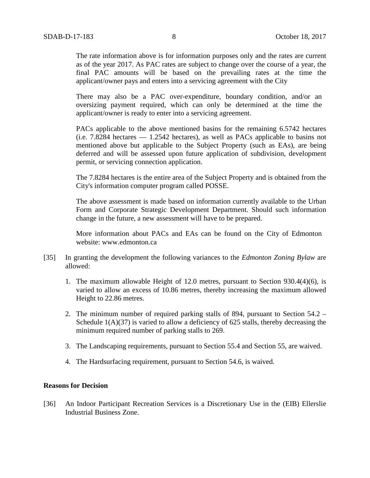The rate information above is for information purposes only and the rates are current as of the year 2017. As PAC rates are subject to change over the course of a year, the final PAC amounts will be based on the prevailing rates at the time the applicant/owner pays and enters into a servicing agreement with the City

There may also be a PAC over-expenditure, boundary condition, and/or an oversizing payment required, which can only be determined at the time the applicant/owner is ready to enter into a servicing agreement.

PACs applicable to the above mentioned basins for the remaining 6.5742 hectares (i.e. 7.8284 hectares — 1.2542 hectares), as well as PACs applicable to basins not mentioned above but applicable to the Subject Property (such as EAs), are being deferred and will be assessed upon future application of subdivision, development permit, or servicing connection application.

The 7.8284 hectares is the entire area of the Subject Property and is obtained from the City's information computer program called POSSE.

The above assessment is made based on information currently available to the Urban Form and Corporate Strategic Development Department. Should such information change in the future, a new assessment will have to be prepared.

More information about PACs and EAs can be found on the City of Edmonton website: [www.edmonton.ca](http://www.edmonton.ca/)

- [35] In granting the development the following variances to the *Edmonton Zoning Bylaw* are allowed:
	- 1. The maximum allowable Height of 12.0 metres, pursuant to Section 930.4(4)(6), is varied to allow an excess of 10.86 metres, thereby increasing the maximum allowed Height to 22.86 metres.
	- 2. The minimum number of required parking stalls of 894, pursuant to Section 54.2 Schedule  $1(A)(37)$  is varied to allow a deficiency of 625 stalls, thereby decreasing the minimum required number of parking stalls to 269.
	- 3. The Landscaping requirements, pursuant to Section 55.4 and Section 55, are waived.
	- 4. The Hardsurfacing requirement, pursuant to Section 54.6, is waived.

## **Reasons for Decision**

[36] An Indoor Participant Recreation Services is a Discretionary Use in the (EIB) Ellerslie Industrial Business Zone.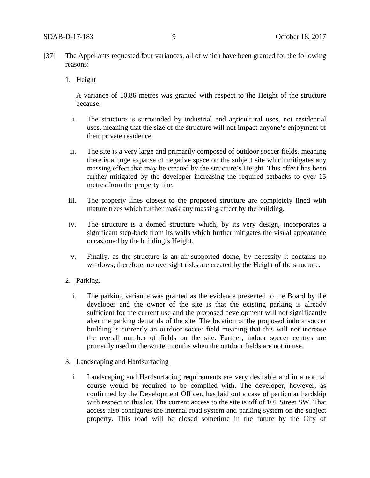- [37] The Appellants requested four variances, all of which have been granted for the following reasons:
	- 1. Height

A variance of 10.86 metres was granted with respect to the Height of the structure because:

- i. The structure is surrounded by industrial and agricultural uses, not residential uses, meaning that the size of the structure will not impact anyone's enjoyment of their private residence.
- ii. The site is a very large and primarily composed of outdoor soccer fields, meaning there is a huge expanse of negative space on the subject site which mitigates any massing effect that may be created by the structure's Height. This effect has been further mitigated by the developer increasing the required setbacks to over 15 metres from the property line.
- iii. The property lines closest to the proposed structure are completely lined with mature trees which further mask any massing effect by the building.
- iv. The structure is a domed structure which, by its very design, incorporates a significant step-back from its walls which further mitigates the visual appearance occasioned by the building's Height.
- v. Finally, as the structure is an air-supported dome, by necessity it contains no windows; therefore, no oversight risks are created by the Height of the structure.
- 2. Parking.
	- i. The parking variance was granted as the evidence presented to the Board by the developer and the owner of the site is that the existing parking is already sufficient for the current use and the proposed development will not significantly alter the parking demands of the site. The location of the proposed indoor soccer building is currently an outdoor soccer field meaning that this will not increase the overall number of fields on the site. Further, indoor soccer centres are primarily used in the winter months when the outdoor fields are not in use.
- 3. Landscaping and Hardsurfacing
	- i. Landscaping and Hardsurfacing requirements are very desirable and in a normal course would be required to be complied with. The developer, however, as confirmed by the Development Officer, has laid out a case of particular hardship with respect to this lot. The current access to the site is off of 101 Street SW. That access also configures the internal road system and parking system on the subject property. This road will be closed sometime in the future by the City of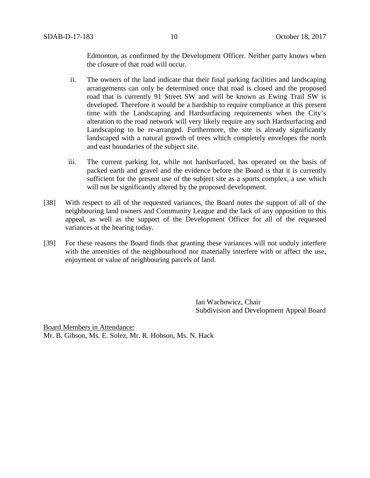Edmonton, as confirmed by the Development Officer. Neither party knows when the closure of that road will occur.

- ii. The owners of the land indicate that their final parking facilities and landscaping arrangements can only be determined once that road is closed and the proposed road that is currently 91 Street SW and will be known as Ewing Trail SW is developed. Therefore it would be a hardship to require compliance at this present time with the Landscaping and Hardsurfacing requirements when the City's alteration to the road network will very likely require any such Hardsurfacing and Landscaping to be re-arranged. Furthermore, the site is already significantly landscaped with a natural growth of trees which completely envelopes the north and east boundaries of the subject site.
- iii. The current parking lot, while not hardsurfaced, has operated on the basis of packed earth and gravel and the evidence before the Board is that it is currently sufficient for the present use of the subject site as a sports complex, a use which will not be significantly altered by the proposed development.
- [38] With respect to all of the requested variances, the Board notes the support of all of the neighbouring land owners and Community League and the lack of any opposition to this appeal, as well as the support of the Development Officer for all of the requested variances at the hearing today.
- [39] For these reasons the Board finds that granting these variances will not unduly interfere with the amenities of the neighbourhood nor materially interfere with or affect the use, enjoyment or value of neighbouring parcels of land.

Ian Wachowicz, Chair Subdivision and Development Appeal Board

Board Members in Attendance: Mr. B. Gibson, Ms. E. Solez, Mr. R. Hobson, Ms. N. Hack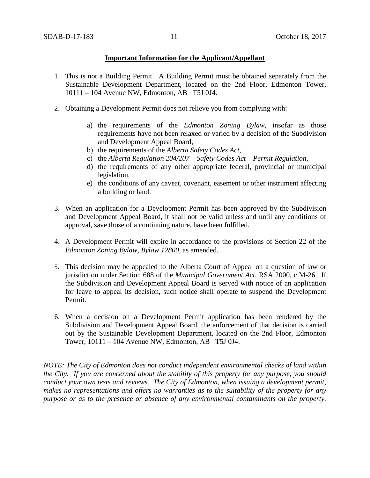## **Important Information for the Applicant/Appellant**

- 1. This is not a Building Permit. A Building Permit must be obtained separately from the Sustainable Development Department, located on the 2nd Floor, Edmonton Tower, 10111 – 104 Avenue NW, Edmonton, AB T5J 0J4.
- 2. Obtaining a Development Permit does not relieve you from complying with:
	- a) the requirements of the *Edmonton Zoning Bylaw*, insofar as those requirements have not been relaxed or varied by a decision of the Subdivision and Development Appeal Board,
	- b) the requirements of the *Alberta Safety Codes Act*,
	- c) the *Alberta Regulation 204/207 – Safety Codes Act – Permit Regulation*,
	- d) the requirements of any other appropriate federal, provincial or municipal legislation,
	- e) the conditions of any caveat, covenant, easement or other instrument affecting a building or land.
- 3. When an application for a Development Permit has been approved by the Subdivision and Development Appeal Board, it shall not be valid unless and until any conditions of approval, save those of a continuing nature, have been fulfilled.
- 4. A Development Permit will expire in accordance to the provisions of Section 22 of the *Edmonton Zoning Bylaw, Bylaw 12800*, as amended.
- 5. This decision may be appealed to the Alberta Court of Appeal on a question of law or jurisdiction under Section 688 of the *Municipal Government Act*, RSA 2000, c M-26. If the Subdivision and Development Appeal Board is served with notice of an application for leave to appeal its decision, such notice shall operate to suspend the Development Permit.
- 6. When a decision on a Development Permit application has been rendered by the Subdivision and Development Appeal Board, the enforcement of that decision is carried out by the Sustainable Development Department, located on the 2nd Floor, Edmonton Tower, 10111 – 104 Avenue NW, Edmonton, AB T5J 0J4.

*NOTE: The City of Edmonton does not conduct independent environmental checks of land within the City. If you are concerned about the stability of this property for any purpose, you should conduct your own tests and reviews. The City of Edmonton, when issuing a development permit, makes no representations and offers no warranties as to the suitability of the property for any purpose or as to the presence or absence of any environmental contaminants on the property.*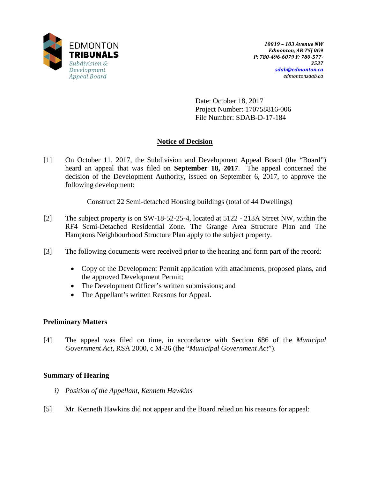

Date: October 18, 2017 Project Number: 170758816-006 File Number: SDAB-D-17-184

# **Notice of Decision**

[1] On October 11, 2017, the Subdivision and Development Appeal Board (the "Board") heard an appeal that was filed on **September 18, 2017**. The appeal concerned the decision of the Development Authority, issued on September 6, 2017, to approve the following development:

Construct 22 Semi-detached Housing buildings (total of 44 Dwellings)

- [2] The subject property is on SW-18-52-25-4, located at 5122 213A Street NW, within the RF4 Semi-Detached Residential Zone. The Grange Area Structure Plan and The Hamptons Neighbourhood Structure Plan apply to the subject property.
- [3] The following documents were received prior to the hearing and form part of the record:
	- Copy of the Development Permit application with attachments, proposed plans, and the approved Development Permit;
	- The Development Officer's written submissions; and
	- The Appellant's written Reasons for Appeal.

# **Preliminary Matters**

[4] The appeal was filed on time, in accordance with Section 686 of the *Municipal Government Act*, RSA 2000, c M-26 (the "*Municipal Government Act*").

# **Summary of Hearing**

- *i) Position of the Appellant, Kenneth Hawkins*
- [5] Mr. Kenneth Hawkins did not appear and the Board relied on his reasons for appeal: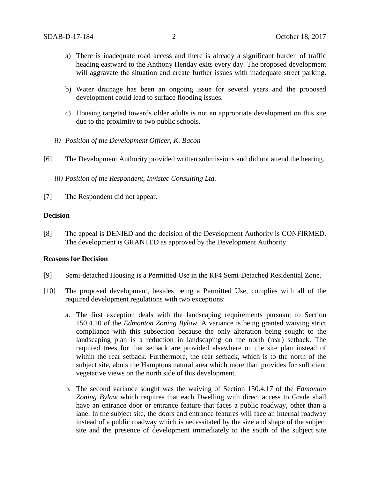- a) There is inadequate road access and there is already a significant burden of traffic heading eastward to the Anthony Henday exits every day. The proposed development will aggravate the situation and create further issues with inadequate street parking.
- b) Water drainage has been an ongoing issue for several years and the proposed development could lead to surface flooding issues.
- c) Housing targeted towards older adults is not an appropriate development on this site due to the proximity to two public schools.
- *ii) Position of the Development Officer, K. Bacon*
- [6] The Development Authority provided written submissions and did not attend the hearing.
	- *iii) Position of the Respondent, Invistec Consulting Ltd.*
- [7] The Respondent did not appear.

#### **Decision**

[8] The appeal is DENIED and the decision of the Development Authority is CONFIRMED. The development is GRANTED as approved by the Development Authority.

## **Reasons for Decision**

- [9] Semi-detached Housing is a Permitted Use in the RF4 Semi-Detached Residential Zone.
- [10] The proposed development, besides being a Permitted Use, complies with all of the required development regulations with two exceptions:
	- a. The first exception deals with the landscaping requirements pursuant to Section 150.4.10 of the *Edmonton Zoning Bylaw*. A variance is being granted waiving strict compliance with this subsection because the only alteration being sought to the landscaping plan is a reduction in landscaping on the north (rear) setback. The required trees for that setback are provided elsewhere on the site plan instead of within the rear setback. Furthermore, the rear setback, which is to the north of the subject site, abuts the Hamptons natural area which more than provides for sufficient vegetative views on the north side of this development.
	- b. The second variance sought was the waiving of Section 150.4.17 of the *Edmonton Zoning Bylaw* which requires that each Dwelling with direct access to Grade shall have an entrance door or entrance feature that faces a public roadway, other than a lane. In the subject site, the doors and entrance features will face an internal roadway instead of a public roadway which is necessitated by the size and shape of the subject site and the presence of development immediately to the south of the subject site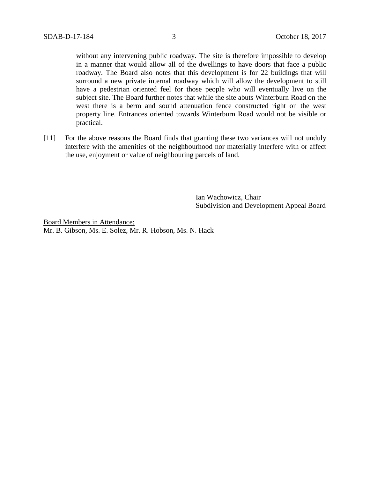without any intervening public roadway. The site is therefore impossible to develop in a manner that would allow all of the dwellings to have doors that face a public roadway. The Board also notes that this development is for 22 buildings that will surround a new private internal roadway which will allow the development to still have a pedestrian oriented feel for those people who will eventually live on the subject site. The Board further notes that while the site abuts Winterburn Road on the west there is a berm and sound attenuation fence constructed right on the west property line. Entrances oriented towards Winterburn Road would not be visible or practical.

[11] For the above reasons the Board finds that granting these two variances will not unduly interfere with the amenities of the neighbourhood nor materially interfere with or affect the use, enjoyment or value of neighbouring parcels of land.

> Ian Wachowicz, Chair Subdivision and Development Appeal Board

Board Members in Attendance: Mr. B. Gibson, Ms. E. Solez, Mr. R. Hobson, Ms. N. Hack